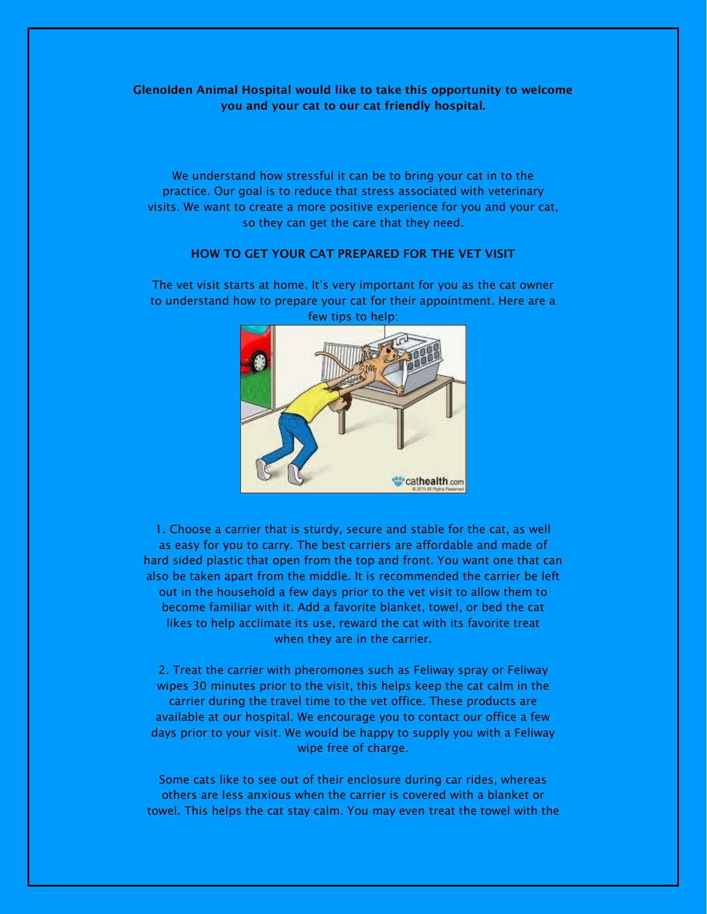**Glenolden Animal Hospital would like to take this opportunity to welcome you and your cat to our cat friendly hospital.**

We understand how stressful it can be to bring your cat in to the practice. Our goal is to reduce that stress associated with veterinary visits. We want to create a more positive experience for you and your cat, so they can get the care that they need.

## **HOW TO GET YOUR CAT PREPARED FOR THE VET VISIT**

"cathealth.com

The vet visit starts at home. It's very important for you as the cat owner to understand how to prepare your cat for their appointment. Here are a few tips to help:

1. Choose a carrier that is sturdy, secure and stable for the cat, as well as easy for you to carry. The best carriers are affordable and made of hard sided plastic that open from the top and front. You want one that can also be taken apart from the middle. It is recommended the carrier be left out in the household a few days prior to the vet visit to allow them to become familiar with it. Add a favorite blanket, towel, or bed the cat likes to help acclimate its use, reward the cat with its favorite treat when they are in the carrier.

2. Treat the carrier with pheromones such as Feliway spray or Feliway wipes 30 minutes prior to the visit, this helps keep the cat calm in the carrier during the travel time to the vet office. These products are available at our hospital. We encourage you to contact our office a few days prior to your visit. We would be happy to supply you with a Feliway wipe free of charge.

Some cats like to see out of their enclosure during car rides, whereas others are less anxious when the carrier is covered with a blanket or towel. This helps the cat stay calm. You may even treat the towel with the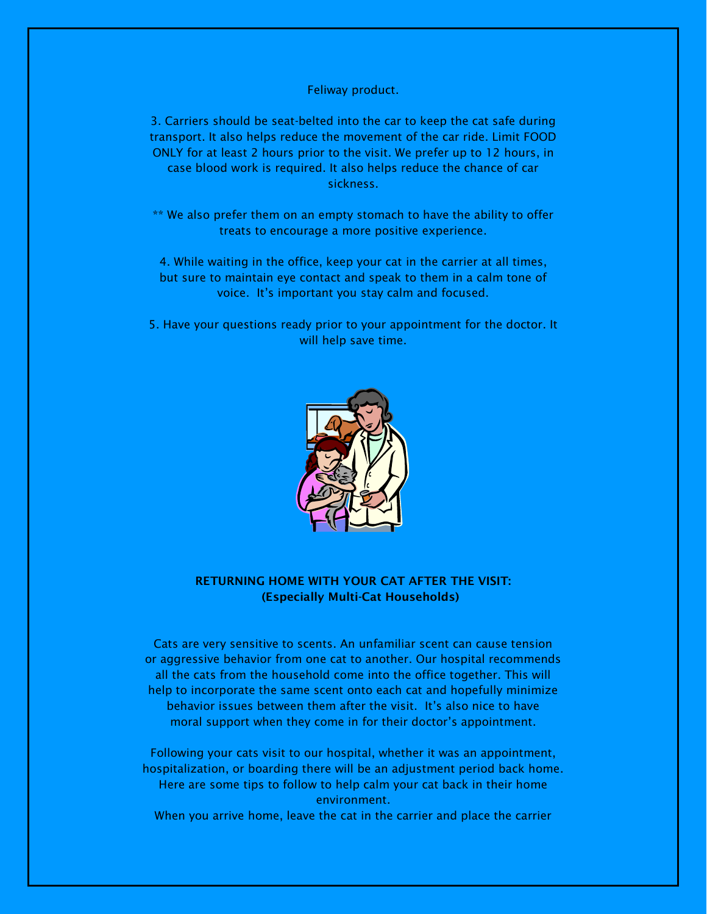Feliway product.

3. Carriers should be seat-belted into the car to keep the cat safe during transport. It also helps reduce the movement of the car ride. Limit FOOD ONLY for at least 2 hours prior to the visit. We prefer up to 12 hours, in case blood work is required. It also helps reduce the chance of car sickness.

\*\* We also prefer them on an empty stomach to have the ability to offer treats to encourage a more positive experience.

4. While waiting in the office, keep your cat in the carrier at all times, but sure to maintain eye contact and speak to them in a calm tone of voice. It's important you stay calm and focused.

5. Have your questions ready prior to your appointment for the doctor. It will help save time.



## **RETURNING HOME WITH YOUR CAT AFTER THE VISIT: (Especially Multi-Cat Households)**

Cats are very sensitive to scents. An unfamiliar scent can cause tension or aggressive behavior from one cat to another. Our hospital recommends all the cats from the household come into the office together. This will help to incorporate the same scent onto each cat and hopefully minimize behavior issues between them after the visit. It's also nice to have moral support when they come in for their doctor's appointment.

Following your cats visit to our hospital, whether it was an appointment, hospitalization, or boarding there will be an adjustment period back home. Here are some tips to follow to help calm your cat back in their home environment. When you arrive home, leave the cat in the carrier and place the carrier